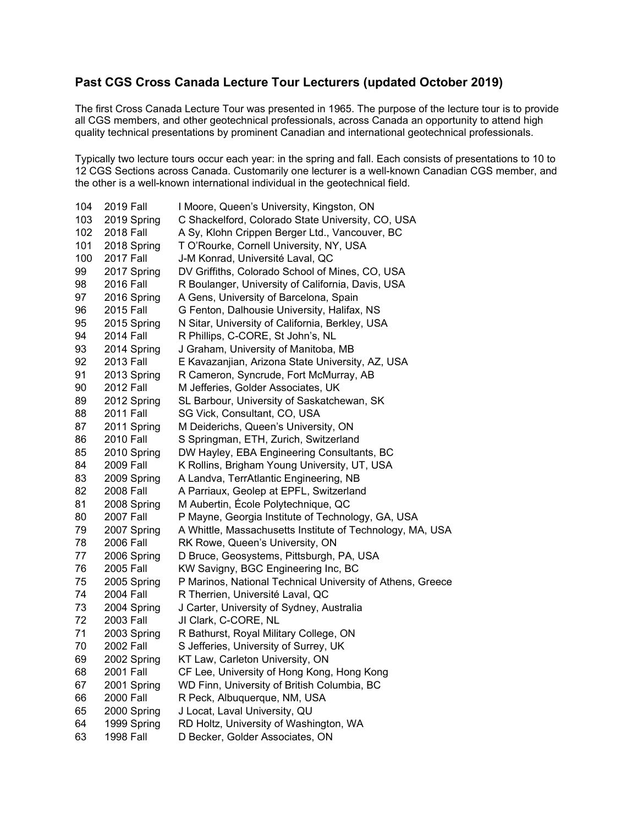## **Past CGS Cross Canada Lecture Tour Lecturers (updated October 2019)**

The first Cross Canada Lecture Tour was presented in 1965. The purpose of the lecture tour is to provide all CGS members, and other geotechnical professionals, across Canada an opportunity to attend high quality technical presentations by prominent Canadian and international geotechnical professionals.

Typically two lecture tours occur each year: in the spring and fall. Each consists of presentations to 10 to 12 CGS Sections across Canada. Customarily one lecturer is a well-known Canadian CGS member, and the other is a well-known international individual in the geotechnical field.

| 104 | 2019 Fall        | I Moore, Queen's University, Kingston, ON                  |  |  |
|-----|------------------|------------------------------------------------------------|--|--|
| 103 | 2019 Spring      | C Shackelford, Colorado State University, CO, USA          |  |  |
| 102 | <b>2018 Fall</b> | A Sy, Klohn Crippen Berger Ltd., Vancouver, BC             |  |  |
| 101 | 2018 Spring      | T O'Rourke, Cornell University, NY, USA                    |  |  |
| 100 | <b>2017 Fall</b> | J-M Konrad, Université Laval, QC                           |  |  |
| 99  | 2017 Spring      | DV Griffiths, Colorado School of Mines, CO, USA            |  |  |
| 98  | 2016 Fall        | R Boulanger, University of California, Davis, USA          |  |  |
| 97  | 2016 Spring      | A Gens, University of Barcelona, Spain                     |  |  |
| 96  | 2015 Fall        | G Fenton, Dalhousie University, Halifax, NS                |  |  |
| 95  | 2015 Spring      | N Sitar, University of California, Berkley, USA            |  |  |
| 94  | 2014 Fall        | R Phillips, C-CORE, St John's, NL                          |  |  |
| 93  | 2014 Spring      | J Graham, University of Manitoba, MB                       |  |  |
| 92  | <b>2013 Fall</b> | E Kavazanjian, Arizona State University, AZ, USA           |  |  |
| 91  | 2013 Spring      | R Cameron, Syncrude, Fort McMurray, AB                     |  |  |
| 90  | <b>2012 Fall</b> | M Jefferies, Golder Associates, UK                         |  |  |
| 89  | 2012 Spring      | SL Barbour, University of Saskatchewan, SK                 |  |  |
| 88  | <b>2011 Fall</b> | SG Vick, Consultant, CO, USA                               |  |  |
| 87  | 2011 Spring      | M Deiderichs, Queen's University, ON                       |  |  |
| 86  | <b>2010 Fall</b> | S Springman, ETH, Zurich, Switzerland                      |  |  |
| 85  | 2010 Spring      | DW Hayley, EBA Engineering Consultants, BC                 |  |  |
| 84  | 2009 Fall        | K Rollins, Brigham Young University, UT, USA               |  |  |
| 83  | 2009 Spring      | A Landva, TerrAtlantic Engineering, NB                     |  |  |
| 82  | <b>2008 Fall</b> | A Parriaux, Geolep at EPFL, Switzerland                    |  |  |
| 81  | 2008 Spring      | M Aubertin, École Polytechnique, QC                        |  |  |
| 80  | <b>2007 Fall</b> | P Mayne, Georgia Institute of Technology, GA, USA          |  |  |
| 79  | 2007 Spring      | A Whittle, Massachusetts Institute of Technology, MA, USA  |  |  |
| 78  | 2006 Fall        | RK Rowe, Queen's University, ON                            |  |  |
| 77  | 2006 Spring      | D Bruce, Geosystems, Pittsburgh, PA, USA                   |  |  |
| 76  | 2005 Fall        | KW Savigny, BGC Engineering Inc, BC                        |  |  |
| 75  | 2005 Spring      | P Marinos, National Technical University of Athens, Greece |  |  |
| 74  | <b>2004 Fall</b> | R Therrien, Université Laval, QC                           |  |  |
| 73  | 2004 Spring      | J Carter, University of Sydney, Australia                  |  |  |
| 72  | 2003 Fall        | JI Clark, C-CORE, NL                                       |  |  |
| 71  | 2003 Spring      | R Bathurst, Royal Military College, ON                     |  |  |
| 70  | 2002 Fall        | S Jefferies, University of Surrey, UK                      |  |  |
| 69  | 2002 Spring      | KT Law, Carleton University, ON                            |  |  |
| 68  | <b>2001 Fall</b> | CF Lee, University of Hong Kong, Hong Kong                 |  |  |
| 67  | 2001 Spring      | WD Finn, University of British Columbia, BC                |  |  |
| 66  | 2000 Fall        | R Peck, Albuquerque, NM, USA                               |  |  |
| 65  | 2000 Spring      | J Locat, Laval University, QU                              |  |  |
| 64  | 1999 Spring      | RD Holtz, University of Washington, WA                     |  |  |
| 63  | 1998 Fall        | D Becker, Golder Associates, ON                            |  |  |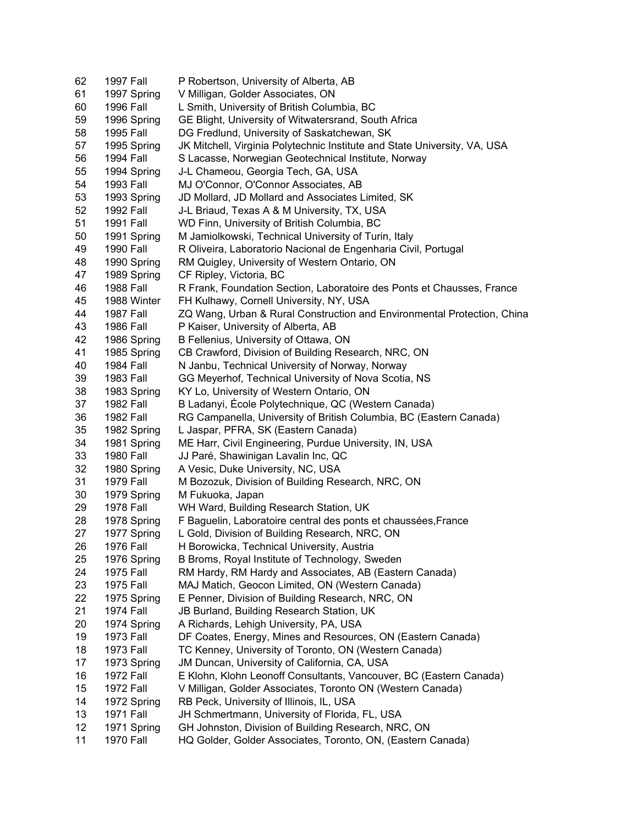| 62 | <b>1997 Fall</b> | P Robertson, University of Alberta, AB                                    |
|----|------------------|---------------------------------------------------------------------------|
| 61 | 1997 Spring      | V Milligan, Golder Associates, ON                                         |
| 60 | <b>1996 Fall</b> | L Smith, University of British Columbia, BC                               |
| 59 | 1996 Spring      | GE Blight, University of Witwatersrand, South Africa                      |
| 58 | 1995 Fall        | DG Fredlund, University of Saskatchewan, SK                               |
| 57 | 1995 Spring      | JK Mitchell, Virginia Polytechnic Institute and State University, VA, USA |
| 56 | 1994 Fall        | S Lacasse, Norwegian Geotechnical Institute, Norway                       |
| 55 | 1994 Spring      | J-L Chameou, Georgia Tech, GA, USA                                        |
| 54 | <b>1993 Fall</b> | MJ O'Connor, O'Connor Associates, AB                                      |
| 53 | 1993 Spring      | JD Mollard, JD Mollard and Associates Limited, SK                         |
| 52 | 1992 Fall        | J-L Briaud, Texas A & M University, TX, USA                               |
| 51 | <b>1991 Fall</b> | WD Finn, University of British Columbia, BC                               |
| 50 | 1991 Spring      | M Jamiolkowski, Technical University of Turin, Italy                      |
| 49 | 1990 Fall        | R Oliveira, Laboratorio Nacional de Engenharia Civil, Portugal            |
| 48 | 1990 Spring      | RM Quigley, University of Western Ontario, ON                             |
| 47 | 1989 Spring      | CF Ripley, Victoria, BC                                                   |
| 46 | <b>1988 Fall</b> | R Frank, Foundation Section, Laboratoire des Ponts et Chausses, France    |
| 45 | 1988 Winter      | FH Kulhawy, Cornell University, NY, USA                                   |
| 44 | <b>1987 Fall</b> | ZQ Wang, Urban & Rural Construction and Environmental Protection, China   |
| 43 | 1986 Fall        | P Kaiser, University of Alberta, AB                                       |
| 42 | 1986 Spring      | B Fellenius, University of Ottawa, ON                                     |
| 41 | 1985 Spring      | CB Crawford, Division of Building Research, NRC, ON                       |
| 40 | 1984 Fall        | N Janbu, Technical University of Norway, Norway                           |
| 39 | <b>1983 Fall</b> | GG Meyerhof, Technical University of Nova Scotia, NS                      |
| 38 | 1983 Spring      | KY Lo, University of Western Ontario, ON                                  |
| 37 | 1982 Fall        | B Ladanyi, École Polytechnique, QC (Western Canada)                       |
| 36 | <b>1982 Fall</b> | RG Campanella, University of British Columbia, BC (Eastern Canada)        |
| 35 | 1982 Spring      | L Jaspar, PFRA, SK (Eastern Canada)                                       |
| 34 | 1981 Spring      | ME Harr, Civil Engineering, Purdue University, IN, USA                    |
| 33 | <b>1980 Fall</b> | JJ Paré, Shawinigan Lavalin Inc, QC                                       |
| 32 | 1980 Spring      | A Vesic, Duke University, NC, USA                                         |
| 31 | <b>1979 Fall</b> | M Bozozuk, Division of Building Research, NRC, ON                         |
| 30 | 1979 Spring      | M Fukuoka, Japan                                                          |
| 29 | <b>1978 Fall</b> | WH Ward, Building Research Station, UK                                    |
| 28 | 1978 Spring      | F Baguelin, Laboratoire central des ponts et chaussées, France            |
| 27 | 1977 Spring      | L Gold, Division of Building Research, NRC, ON                            |
| 26 | 1976 Fall        | H Borowicka, Technical University, Austria                                |
| 25 | 1976 Spring      | B Broms, Royal Institute of Technology, Sweden                            |
| 24 | <b>1975 Fall</b> | RM Hardy, RM Hardy and Associates, AB (Eastern Canada)                    |
| 23 | <b>1975 Fall</b> | MAJ Matich, Geocon Limited, ON (Western Canada)                           |
| 22 | 1975 Spring      | E Penner, Division of Building Research, NRC, ON                          |
| 21 | <b>1974 Fall</b> | JB Burland, Building Research Station, UK                                 |
| 20 | 1974 Spring      | A Richards, Lehigh University, PA, USA                                    |
| 19 | <b>1973 Fall</b> | DF Coates, Energy, Mines and Resources, ON (Eastern Canada)               |
| 18 | <b>1973 Fall</b> | TC Kenney, University of Toronto, ON (Western Canada)                     |
| 17 | 1973 Spring      | JM Duncan, University of California, CA, USA                              |
| 16 | <b>1972 Fall</b> | E Klohn, Klohn Leonoff Consultants, Vancouver, BC (Eastern Canada)        |
| 15 | 1972 Fall        | V Milligan, Golder Associates, Toronto ON (Western Canada)                |
| 14 | 1972 Spring      | RB Peck, University of Illinois, IL, USA                                  |
| 13 | <b>1971 Fall</b> | JH Schmertmann, University of Florida, FL, USA                            |
| 12 | 1971 Spring      | GH Johnston, Division of Building Research, NRC, ON                       |
| 11 | <b>1970 Fall</b> | HQ Golder, Golder Associates, Toronto, ON, (Eastern Canada)               |
|    |                  |                                                                           |